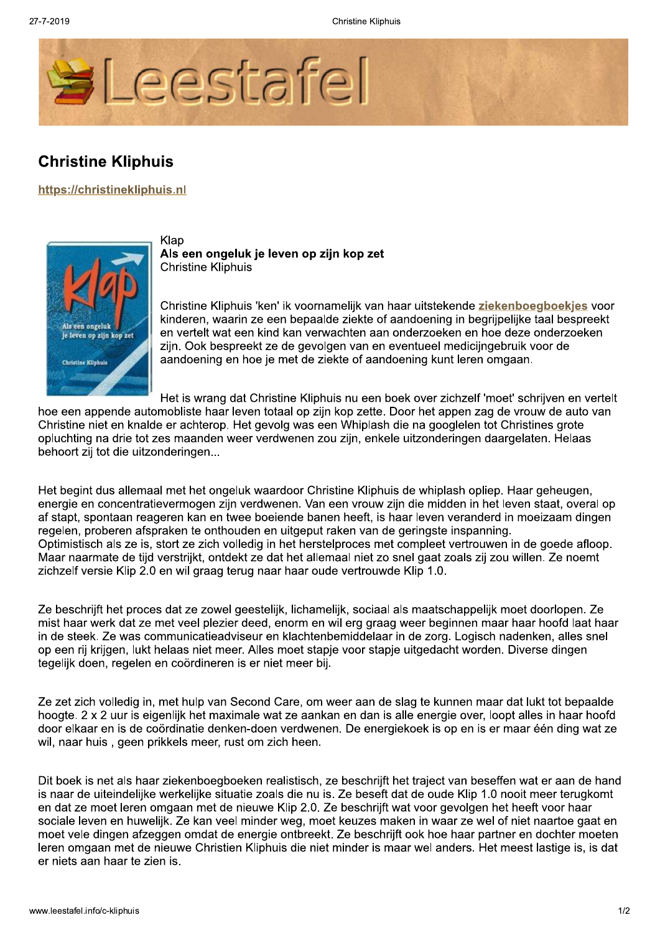**Christine Kliphuis** 



## **Christine Kliphuis**

https://christinekliphuis.nl



Klap Als een ongeluk je leven op zijn kop zet **Christine Kliphuis** 

Christine Kliphuis 'ken' ik voornamelijk van haar uitstekende ziekenboegboekjes voor kinderen, waarin ze een bepaalde ziekte of aandoening in begrijpelijke taal bespreekt en vertelt wat een kind kan verwachten aan onderzoeken en hoe deze onderzoeken zijn. Ook bespreekt ze de gevolgen van en eventueel medicijngebruik voor de aandoening en hoe je met de ziekte of aandoening kunt leren omgaan.

Het is wrang dat Christine Kliphuis nu een boek over zichzelf 'moet' schrijven en vertelt

hoe een appende automobliste haar leven totaal op zijn kop zette. Door het appen zag de vrouw de auto van Christine niet en knalde er achterop. Het gevolg was een Whiplash die na googlelen tot Christines grote opluchting na drie tot zes maanden weer verdwenen zou zijn, enkele uitzonderingen daargelaten. Helaas behoort zij tot die uitzonderingen...

Het begint dus allemaal met het ongeluk waardoor Christine Kliphuis de whiplash opliep. Haar geheugen, energie en concentratievermogen zijn verdwenen. Van een vrouw zijn die midden in het leven staat, overal op af stapt, spontaan reageren kan en twee boeiende banen heeft, is haar leven veranderd in moeizaam dingen regelen, proberen afspraken te onthouden en uitgeput raken van de geringste inspanning. Optimistisch als ze is, stort ze zich volledig in het herstelproces met compleet vertrouwen in de goede afloop. Maar naarmate de tijd verstrijkt, ontdekt ze dat het allemaal niet zo snel gaat zoals zij zou willen. Ze noemt zichzelf versie Klip 2.0 en wil graag terug naar haar oude vertrouwde Klip 1.0.

Ze beschrijft het proces dat ze zowel geestelijk, lichamelijk, sociaal als maatschappelijk moet doorlopen. Ze mist haar werk dat ze met veel plezier deed, enorm en wil erg graag weer beginnen maar haar hoofd laat haar in de steek. Ze was communicatieadviseur en klachtenbemiddelaar in de zorg. Logisch nadenken, alles snel op een rij krijgen. Jukt helaas niet meer. Alles moet stapie voor stapie uitgedacht worden. Diverse dingen tegelijk doen, regelen en coördineren is er niet meer bij.

Ze zet zich volledig in, met hulp van Second Care, om weer aan de slag te kunnen maar dat lukt tot bepaalde hoogte, 2 x 2 uur is eigenlijk het maximale wat ze aankan en dan is alle energie over. loopt alles in haar hoofd door elkaar en is de coördinatie denken-doen verdwenen. De energiekoek is op en is er maar één ding wat ze wil, naar huis, geen prikkels meer, rust om zich heen.

Dit boek is net als haar ziekenboegboeken realistisch, ze beschrijft het traject van beseffen wat er aan de hand is naar de uiteindelijke werkelijke situatie zoals die nu is. Ze beseft dat de oude Klip 1.0 nooit meer terugkomt en dat ze moet leren omgaan met de nieuwe Klip 2.0. Ze beschrijft wat voor gevolgen het heeft voor haar sociale leven en huwelijk. Ze kan veel minder weg, moet keuzes maken in waar ze wel of niet naartoe gaat en moet vele dingen afzeggen omdat de energie ontbreekt. Ze beschrijft ook hoe haar partner en dochter moeten leren omgaan met de nieuwe Christien Kliphuis die niet minder is maar wel anders. Het meest lastige is, is dat er niets aan haar te zien is.